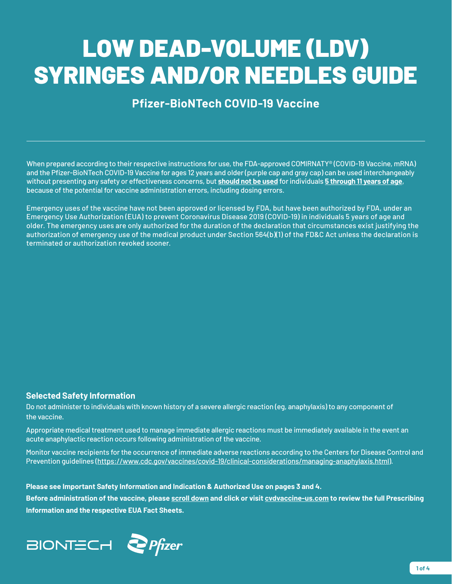# LOW DEAD-VOLUME (LDV) SYRINGES AND/OR NEEDLES GUIDE

# **Pfizer-BioNTech COVID-19 Vaccine**

When prepared according to their respective instructions for use, the FDA-approved COMIRNATY® (COVID-19 Vaccine, mRNA) and the Pfizer-BioNTech COVID-19 Vaccine for ages 12 years and older (purple cap and gray cap) can be used interchangeably without presenting any safety or effectiveness concerns, but **should not be used** for individuals **5 through 11 years of age**, because of the potential for vaccine administration errors, including dosing errors.

Emergency uses of the vaccine have not been approved or licensed by FDA, but have been authorized by FDA, under an Emergency Use Authorization (EUA) to prevent Coronavirus Disease 2019 (COVID-19) in individuals 5 years of age and older. The emergency uses are only authorized for the duration of the declaration that circumstances exist justifying the authorization of emergency use of the medical product under Section 564(b)(1) of the FD&C Act unless the declaration is terminated or authorization revoked sooner.

#### **Selected Safety Information**

Do not administer to individuals with known history of a severe allergic reaction (eg, anaphylaxis) to any component of the vaccine.

Appropriate medical treatment used to manage immediate allergic reactions must be immediately available in the event an acute anaphylactic reaction occurs following administration of the vaccine.

Monitor vaccine recipients for the occurrence of immediate adverse reactions according to the Centers for Disease Control and Prevention guidelines [\(https://www.cdc.gov/vaccines/covid-19/clinical-considerations/managing-anaphylaxis.html](https://www.cdc.gov/vaccines/covid-19/clinical-considerations/managing-anaphylaxis.html)).

**Please see Important Safety Information and Indication & Authorized Use on pages 3 and 4.** 

**Before administration of the vaccine, please [scroll down](#page-3-0) and click or visit [cvdvaccine-us.com](http://www.cvdvaccine-us.com) to review the full Prescribing Information and the respective EUA Fact Sheets.**

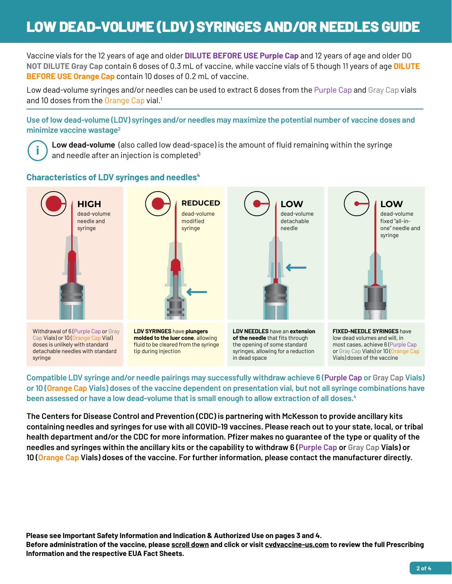# LOW DEAD-VOLUME (LDV) SYRINGES AND/OR NEEDLES GUIDE

Vaccine vials for the 12 years of age and older **DILUTE BEFORE USE Purple Cap** and 12 years of age and older **DO NOT DILUTE Gray Cap** contain 6 doses of 0.3 mL of vaccine, while vaccine vials of 5 though 11 years of age **DILUTE BEFORE USE Orange Cap** contain 10 doses of 0.2 mL of vaccine.

Low dead-volume syringes and/or needles can be used to extract 6 doses from the Purple Cap and Gray Cap vials and 10 doses from the Orange Cap vial.<sup>1</sup>

**Use of low dead-volume (LDV) syringes and/or needles may maximize the potential number of vaccine doses and minimize vaccine wastage2**



**Low dead-volume** (also called low dead-space) is the amount of fluid remaining within the syringe and needle after an injection is completed<sup>3</sup>

#### **Characteristics of LDV syringes and needles4**



**Compatible LDV syringe and/or needle pairings may successfully withdraw achieve 6 (Purple Cap or Gray Cap Vials) or 10 (Orange Cap Vials) doses of the vaccine dependent on presentation vial, but not all syringe combinations have been assessed or have a low dead-volume that is small enough to allow extraction of all doses.4**

**The Centers for Disease Control and Prevention (CDC) is partnering with McKesson to provide ancillary kits containing needles and syringes for use with all COVID-19 vaccines. Please reach out to your state, local, or tribal health department and/or the CDC for more information. Pfizer makes no guarantee of the type or quality of the needles and syringes within the ancillary kits or the capability to withdraw 6 (Purple Cap or Gray Cap Vials) or 10 (Orange Cap Vials) doses of the vaccine. For further information, please contact the manufacturer directly.** 

**Please see Important Safety Information and Indication & Authorized Use on pages 3 and 4. Before administration of the vaccine, please [scroll down](#page-3-0) and click or visit [cvdvaccine-us.com](http://www.cvdvaccine-us.com) to review the full Prescribing Information and the respective EUA Fact Sheets.**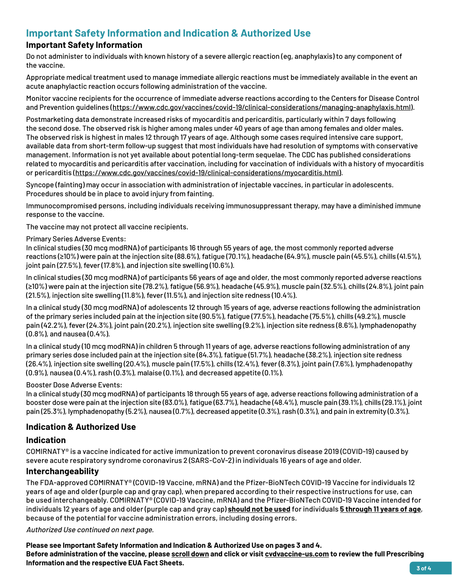### **Important Safety Information and Indication & Authorized Use**

#### **Important Safety Information**

Do not administer to individuals with known history of a severe allergic reaction (eg, anaphylaxis) to any component of the vaccine.

Appropriate medical treatment used to manage immediate allergic reactions must be immediately available in the event an acute anaphylactic reaction occurs following administration of the vaccine.

Monitor vaccine recipients for the occurrence of immediate adverse reactions according to the Centers for Disease Control and Prevention guidelines (https://www.cdc.gov/vaccines/covid-19/clinical-considerations/managing-anaphylaxis.html).

Postmarketing data demonstrate increased risks of myocarditis and pericarditis, particularly within 7 days following the second dose. The observed risk is higher among males under 40 years of age than among females and older males. The observed risk is highest in males 12 through 17 years of age. Although some cases required intensive care support, available data from short-term follow-up suggest that most individuals have had resolution of symptoms with conservative management. Information is not yet available about potential long-term sequelae. The CDC has published considerations related to myocarditis and pericarditis after vaccination, including for vaccination of individuals with a history of myocarditis or pericarditis (https://www.cdc.gov/vaccines/covid-19/clinical-considerations/myocarditis.html).

Syncope (fainting) may occur in association with administration of injectable vaccines, in particular in adolescents. Procedures should be in place to avoid injury from fainting.

Immunocompromised persons, including individuals receiving immunosuppressant therapy, may have a diminished immune response to the vaccine.

The vaccine may not protect all vaccine recipients.

#### Primary Series Adverse Events:

In clinical studies (30 mcg modRNA) of participants 16 through 55 years of age, the most commonly reported adverse reactions (≥10%) were pain at the injection site (88.6%), fatigue (70.1%), headache (64.9%), muscle pain (45.5%), chills (41.5%), joint pain (27.5%), fever (17.8%), and injection site swelling (10.6%).

In clinical studies (30 mcg modRNA) of participants 56 years of age and older, the most commonly reported adverse reactions (≥10%) were pain at the injection site (78.2%), fatigue (56.9%), headache (45.9%), muscle pain (32.5%), chills (24.8%), joint pain (21.5%), injection site swelling (11.8%), fever (11.5%), and injection site redness (10.4%).

In a clinical study (30 mcg modRNA) of adolescents 12 through 15 years of age, adverse reactions following the administration of the primary series included pain at the injection site (90.5%), fatigue (77.5%), headache (75.5%), chills (49.2%), muscle pain (42.2%), fever (24.3%), joint pain (20.2%), injection site swelling (9.2%), injection site redness (8.6%), lymphadenopathy (0.8%), and nausea (0.4%).

In a clinical study (10 mcg modRNA) in children 5 through 11 years of age, adverse reactions following administration of any primary series dose included pain at the injection site (84.3%), fatigue (51.7%), headache (38.2%), injection site redness (26.4%), injection site swelling (20.4%), muscle pain (17.5%), chills (12.4%), fever (8.3%), joint pain (7.6%), lymphadenopathy (0.9%), nausea (0.4%), rash (0.3%), malaise (0.1%), and decreased appetite (0.1%).

#### Booster Dose Adverse Events:

In a clinical study (30 mcg modRNA) of participants 18 through 55 years of age, adverse reactions following administration of a booster dose were pain at the injection site (83.0%), fatigue (63.7%), headache (48.4%), muscle pain (39.1%), chills (29.1%), joint pain (25.3%), lymphadenopathy (5.2%), nausea (0.7%), decreased appetite (0.3%), rash (0.3%), and pain in extremity (0.3%).

#### **Indication & Authorized Use**

#### **Indication**

COMIRNATY® is a vaccine indicated for active immunization to prevent coronavirus disease 2019 (COVID-19) caused by severe acute respiratory syndrome coronavirus 2 (SARS-CoV-2) in individuals 16 years of age and older.

#### **Interchangeability**

The FDA-approved COMIRNATY® (COVID-19 Vaccine, mRNA) and the Pfizer-BioNTech COVID-19 Vaccine for individuals 12 years of age and older (purple cap and gray cap), when prepared according to their respective instructions for use, can be used interchangeably. COMIRNATY® (COVID-19 Vaccine, mRNA) and the Pfizer-BioNTech COVID-19 Vaccine intended for individuals 12 years of age and older (purple cap and gray cap) **should not be used** for individuals **5 through 11 years of age**, because of the potential for vaccine administration errors, including dosing errors.

#### Authorized Use continued on next page.

**Please see Important Safety Information and Indication & Authorized Use on pages 3 and 4. Before administration of the vaccine, please [scroll down](#page-3-0) and click or visit [cvdvaccine-us.com](http://www.cvdvaccine-us.com) to review the full Prescribing Information and the respective EUA Fact Sheets. 3 of 4**